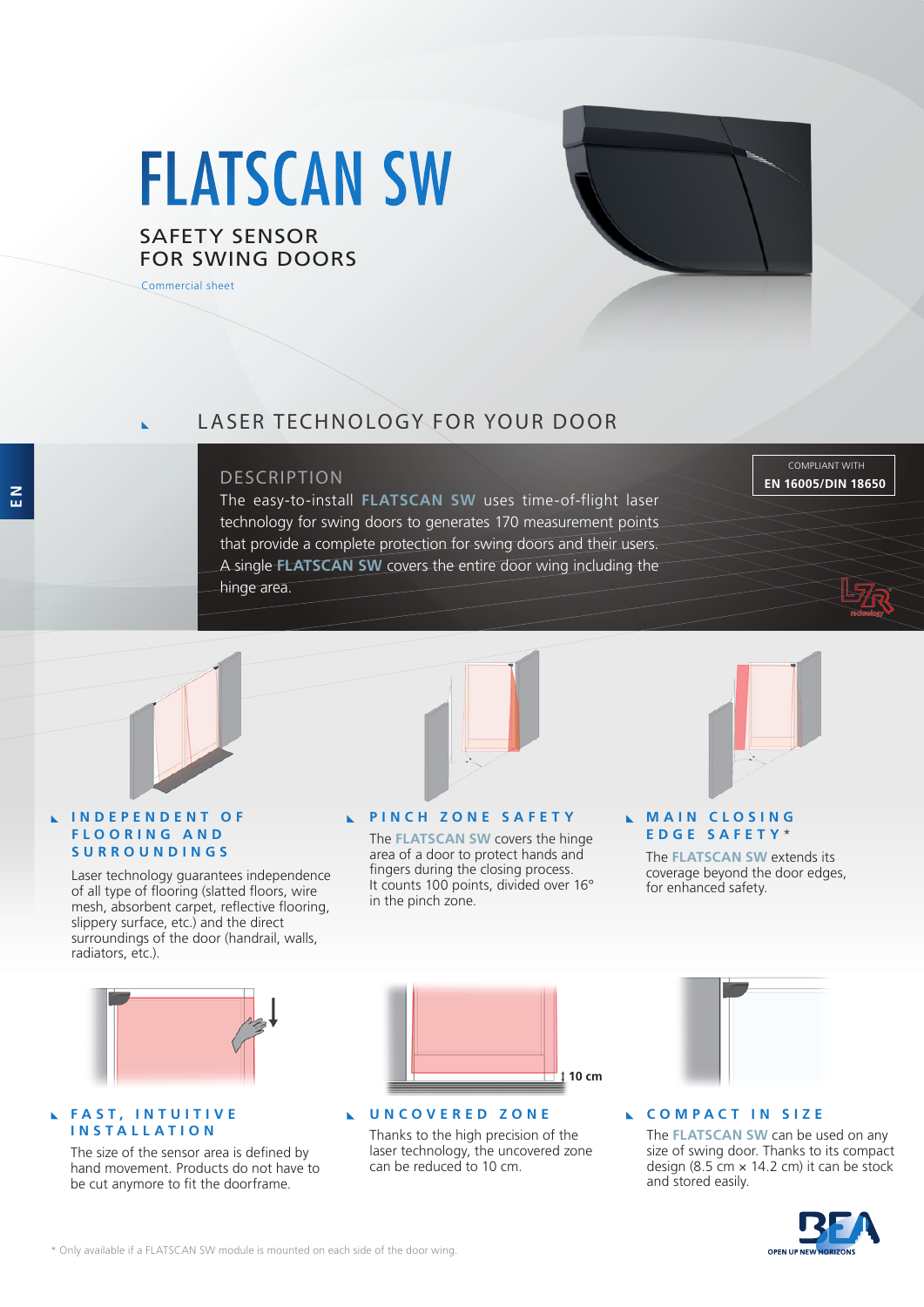# FLATSCAN SW

## SAFETY SENSOR FOR SWING DOORS

Commercial sheet



# LASER TECHNOLOGY FOR YOUR DOOR

#### DESCRIPTION

The easy-to-install **FLATSCAN SW** uses time-of-flight laser technology for swing doors to generates 170 measurement points that provide a complete protection for swing doors and their users. A single **FLATSCAN SW** covers the entire door wing including the hinge area.

COMPLIANT WITH **EN 16005/DIN 18650**



#### **I N D E P E N D E N T O F F L O O R I N G A N D SURROUNDINGS**

Laser technology guarantees independence of all type of flooring (slatted floors, wire mesh, absorbent carpet, reflective flooring, slippery surface, etc.) and the direct surroundings of the door (handrail, walls, radiators, etc.).



### **PINCH ZONE SAFETY**

The **FLATSCAN SW** covers the hinge area of a door to protect hands and fingers during the closing process. It counts 100 points, divided over 16° in the pinch zone.

#### **MAIN CLOSING EDGE SAFETY** \*

The **FLATSCAN SW** extends its coverage beyond the door edges, for enhanced safety.



#### **FAST, INTUITIVE INSTALLATION**

The size of the sensor area is defined by hand movement. Products do not have to be cut anymore to fit the doorframe.



#### **UNCOVERED ZONE**

Thanks to the high precision of the laser technology, the uncovered zone can be reduced to 10 cm.



#### **COMPACT IN SIZE**

The **FLATSCAN SW** can be used on any size of swing door. Thanks to its compact design (8.5 cm  $\times$  14.2 cm) it can be stock and stored easily.